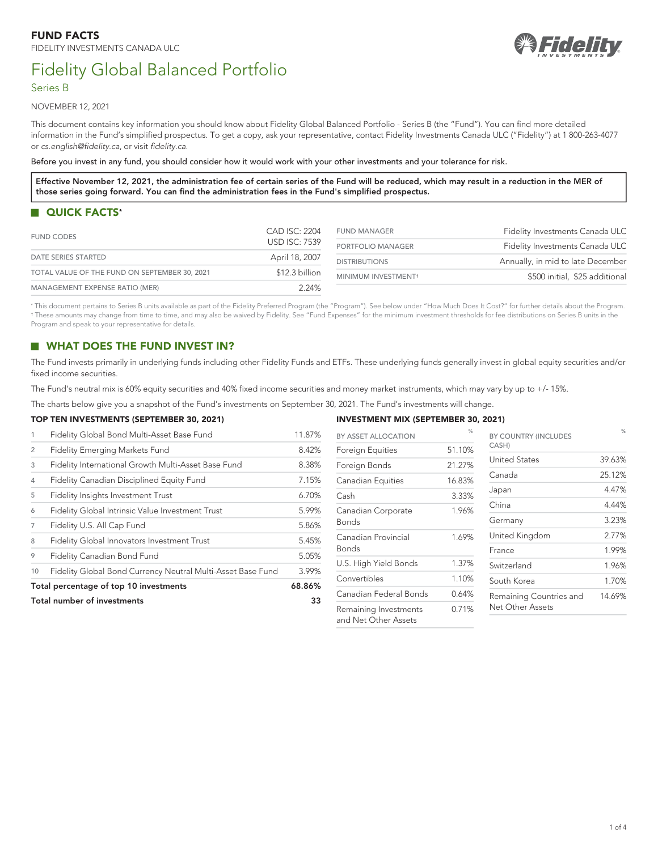

# Fidelity Global Balanced Portfolio

## Series B

NOVEMBER 12, 2021

This document contains key information you should know about Fidelity Global Balanced Portfolio - Series B (the "Fund"). You can find more detailed information in the Fund's simplified prospectus. To get a copy, ask your representative, contact Fidelity Investments Canada ULC ("Fidelity") at 1 800-263-4077 or *[cs.english@fidelity.ca](mailto:cs.english@fidelity.ca)*, or visit *[fidelity.ca](https://www.fidelity.ca)*.

Before you invest in any fund, you should consider how it would work with your other investments and your tolerance for risk.

**Effective November 12, 2021, the administration fee of certain series of the Fund will be reduced, which may result in a reduction in the MER of those series going forward. You can find the administration fees in the Fund's simplified prospectus.**

# <span id="page-0-2"></span>**QUICK FACTS[\\*](#page-0-0)**

| <b>FUND CODES</b>                             | CAD ISC: 2204        | <b>FUND MANAGER</b>  | Fidelity Investments Canada ULC   |
|-----------------------------------------------|----------------------|----------------------|-----------------------------------|
|                                               | <b>USD ISC: 7539</b> | PORTFOLIO MANAGER    | Fidelity Investments Canada ULC   |
| DATE SERIES STARTED                           | April 18, 2007       | <b>DISTRIBUTIONS</b> | Annually, in mid to late December |
| TOTAL VALUE OF THE FUND ON SEPTEMBER 30, 2021 | \$12.3 billion       | MINIMUM INVESTMENT+  | \$500 initial, \$25 additional    |
| <b>MANAGEMENT EXPENSE RATIO (MER)</b>         | 2.24%                |                      |                                   |

<span id="page-0-1"></span><span id="page-0-0"></span>[\\*](#page-0-2) This document pertains to Series B units available as part of the Fidelity Preferred Program (the "Program"). See below under "How Much Does It Cost?" for further details about the Program. [†](#page-0-3) These amounts may change from time to time, and may also be waived by Fidelity. See "Fund Expenses" for the minimum investment thresholds for fee distributions on Series B units in the Program and speak to your representative for details.

# **WHAT DOES THE FUND INVEST IN?**

The Fund invests primarily in underlying funds including other Fidelity Funds and ETFs. These underlying funds generally invest in global equity securities and/or fixed income securities.

The Fund's neutral mix is 60% equity securities and 40% fixed income securities and money market instruments, which may vary by up to +/- 15%.

The charts below give you a snapshot of the Fund's investments on September 30, 2021. The Fund's investments will change.

#### **TOP TEN INVESTMENTS (SEPTEMBER 30, 2021)**

| Total number of investments |                                                             | 33     |
|-----------------------------|-------------------------------------------------------------|--------|
|                             | Total percentage of top 10 investments                      | 68.86% |
| 10                          | Fidelity Global Bond Currency Neutral Multi-Asset Base Fund | 3.99%  |
| 9                           | Fidelity Canadian Bond Fund                                 | 5.05%  |
| 8                           | Fidelity Global Innovators Investment Trust                 | 5.45%  |
| 7                           | Fidelity U.S. All Cap Fund                                  | 5.86%  |
| 6                           | Fidelity Global Intrinsic Value Investment Trust            | 5.99%  |
| 5                           | Fidelity Insights Investment Trust                          | 6.70%  |
| $\overline{4}$              | Fidelity Canadian Disciplined Equity Fund                   | 7.15%  |
| 3                           | Fidelity International Growth Multi-Asset Base Fund         | 8.38%  |
| $\overline{2}$              | Fidelity Emerging Markets Fund                              | 8.42%  |
| 1                           | Fidelity Global Bond Multi-Asset Base Fund                  | 11.87% |

## <span id="page-0-3"></span>**INVESTMENT MIX (SEPTEMBER 30, 2021)**

| BY ASSET ALLOCATION                           | %      | BY COUNTRY (INCLUDES    | $\%$   |
|-----------------------------------------------|--------|-------------------------|--------|
| Foreign Equities                              | 51.10% | CASH)                   |        |
| Foreign Bonds                                 | 21.27% | <b>United States</b>    | 39.63% |
| Canadian Equities                             | 16.83% | Canada                  | 25.12% |
| Cash                                          | 3.33%  | Japan                   | 4.47%  |
| Canadian Corporate                            | 1.96%  | China                   | 4.44%  |
| Bonds                                         |        | Germany                 | 3.23%  |
| Canadian Provincial                           | 1.69%  | United Kingdom          | 2.77%  |
| Bonds                                         |        | France                  | 1.99%  |
| U.S. High Yield Bonds                         | 1.37%  | Switzerland             | 1.96%  |
| Convertibles                                  | 1.10%  | South Korea             | 1.70%  |
| Canadian Federal Bonds                        | 0.64%  | Remaining Countries and | 14.69% |
| Remaining Investments<br>and Net Other Assets | 0.71%  | Net Other Assets        |        |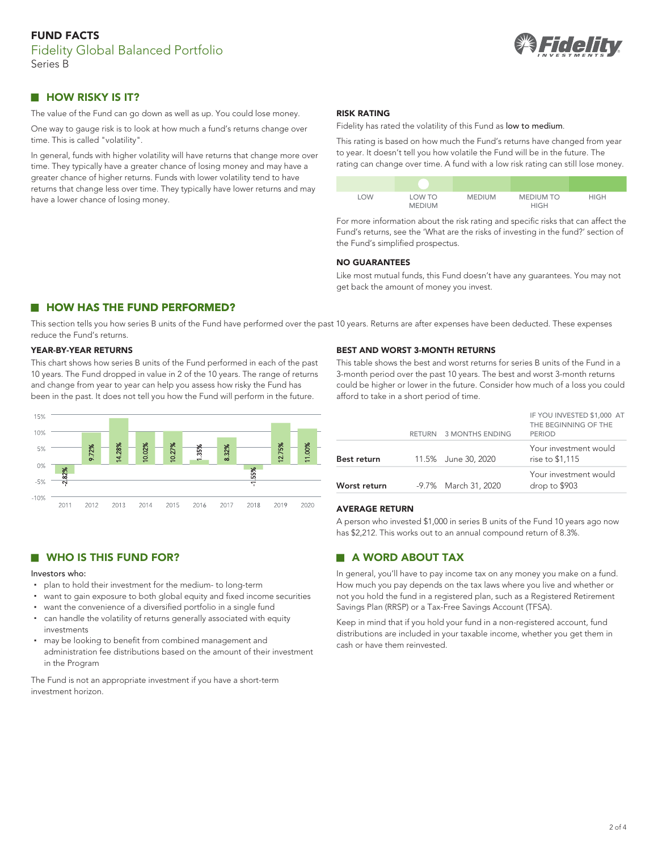

# **HOW RISKY IS IT?**

The value of the Fund can go down as well as up. You could lose money.

One way to gauge risk is to look at how much a fund's returns change over time. This is called "volatility".

In general, funds with higher volatility will have returns that change more over time. They typically have a greater chance of losing money and may have a greater chance of higher returns. Funds with lower volatility tend to have returns that change less over time. They typically have lower returns and may have a lower chance of losing money.

#### **RISK RATING**

Fidelity has rated the volatility of this Fund as low to medium.

This rating is based on how much the Fund's returns have changed from year to year. It doesn't tell you how volatile the Fund will be in the future. The rating can change over time. A fund with a low risk rating can still lose money.



For more information about the risk rating and specific risks that can affect the Fund's returns, see the 'What are the risks of investing in the fund?' section of the Fund's simplified prospectus.

#### **NO GUARANTEES**

Like most mutual funds, this Fund doesn't have any guarantees. You may not get back the amount of money you invest.

# **HOW HAS THE FUND PERFORMED?**

This section tells you how series B units of the Fund have performed over the past 10 years. Returns are after expenses have been deducted. These expenses reduce the Fund's returns.

#### **YEAR-BY-YEAR RETURNS**

This chart shows how series B units of the Fund performed in each of the past 10 years. The Fund dropped in value in 2 of the 10 years. The range of returns and change from year to year can help you assess how risky the Fund has been in the past. It does not tell you how the Fund will perform in the future.



## **WHO IS THIS FUND FOR?**

#### Investors who:

- plan to hold their investment for the medium- to long-term
- want to gain exposure to both global equity and fixed income securities
- want the convenience of a diversified portfolio in a single fund
- can handle the volatility of returns generally associated with equity investments
- may be looking to benefit from combined management and administration fee distributions based on the amount of their investment in the Program

The Fund is not an appropriate investment if you have a short-term investment horizon.

#### **BEST AND WORST 3-MONTH RETURNS**

This table shows the best and worst returns for series B units of the Fund in a 3-month period over the past 10 years. The best and worst 3-month returns could be higher or lower in the future. Consider how much of a loss you could afford to take in a short period of time.

| Worst return | -9.7% March 31, 2020   | Your investment would<br>drop to \$903                              |
|--------------|------------------------|---------------------------------------------------------------------|
| Best return  | 11.5% June 30, 2020    | Your investment would<br>rise to \$1,115                            |
|              | RETURN 3 MONTHS ENDING | IF YOU INVESTED \$1,000 AT<br>THE BEGINNING OF THE<br><b>PERIOD</b> |

#### **AVERAGE RETURN**

A person who invested \$1,000 in series B units of the Fund 10 years ago now has \$2,212. This works out to an annual compound return of 8.3%.

# **A WORD ABOUT TAX**

In general, you'll have to pay income tax on any money you make on a fund. How much you pay depends on the tax laws where you live and whether or not you hold the fund in a registered plan, such as a Registered Retirement Savings Plan (RRSP) or a Tax-Free Savings Account (TFSA).

Keep in mind that if you hold your fund in a non-registered account, fund distributions are included in your taxable income, whether you get them in cash or have them reinvested.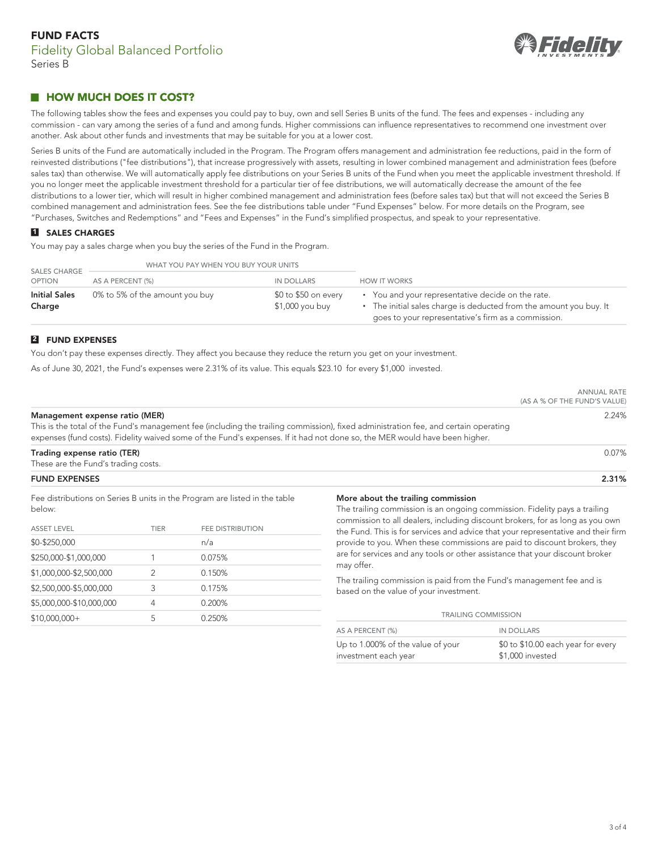

# **HOW MUCH DOES IT COST?**

The following tables show the fees and expenses you could pay to buy, own and sell Series B units of the fund. The fees and expenses - including any commission - can vary among the series of a fund and among funds. Higher commissions can influence representatives to recommend one investment over another. Ask about other funds and investments that may be suitable for you at a lower cost.

Series B units of the Fund are automatically included in the Program. The Program offers management and administration fee reductions, paid in the form of reinvested distributions ("fee distributions"), that increase progressively with assets, resulting in lower combined management and administration fees (before sales tax) than otherwise. We will automatically apply fee distributions on your Series B units of the Fund when you meet the applicable investment threshold. If you no longer meet the applicable investment threshold for a particular tier of fee distributions, we will automatically decrease the amount of the fee distributions to a lower tier, which will result in higher combined management and administration fees (before sales tax) but that will not exceed the Series B combined management and administration fees. See the fee distributions table under "Fund Expenses" below. For more details on the Program, see "Purchases, Switches and Redemptions" and "Fees and Expenses" in the Fund's simplified prospectus, and speak to your representative.

## **1 SALES CHARGES**

You may pay a sales charge when you buy the series of the Fund in the Program.

| <b>SALES CHARGE</b>            | WHAT YOU PAY WHEN YOU BUY YOUR UNITS |                                         |                                                                                                                                                                                |  |
|--------------------------------|--------------------------------------|-----------------------------------------|--------------------------------------------------------------------------------------------------------------------------------------------------------------------------------|--|
| <b>OPTION</b>                  | AS A PERCENT (%)                     | IN DOLLARS                              | <b>HOW IT WORKS</b>                                                                                                                                                            |  |
| <b>Initial Sales</b><br>Charge | 0% to 5% of the amount you buy       | \$0 to \$50 on every<br>\$1,000 you buy | • You and your representative decide on the rate.<br>• The initial sales charge is deducted from the amount you buy. It<br>goes to your representative's firm as a commission. |  |

## **2 FUND EXPENSES**

You don't pay these expenses directly. They affect you because they reduce the return you get on your investment.

As of June 30, 2021, the Fund's expenses were 2.31% of its value. This equals \$23.10 for every \$1,000 invested.

|                                                                                                                                                                                                                                                                                                     | <b>ANNUAL RATE</b><br>(AS A % OF THE FUND'S VALUE) |
|-----------------------------------------------------------------------------------------------------------------------------------------------------------------------------------------------------------------------------------------------------------------------------------------------------|----------------------------------------------------|
| Management expense ratio (MER)<br>This is the total of the Fund's management fee (including the trailing commission), fixed administration fee, and certain operating<br>expenses (fund costs). Fidelity waived some of the Fund's expenses. If it had not done so, the MER would have been higher. | 2.24%                                              |
| Trading expense ratio (TER)<br>These are the Fund's trading costs.                                                                                                                                                                                                                                  | $0.07\%$                                           |
| <b>FUND EXPENSES</b>                                                                                                                                                                                                                                                                                | 2.31%                                              |

Fee distributions on Series B units in the Program are listed in the table below:

| <b>ASSET LEVEL</b>       | TIER | <b>FEE DISTRIBUTION</b> |  |
|--------------------------|------|-------------------------|--|
| \$0-\$250,000            |      | n/a                     |  |
| \$250,000-\$1,000,000    |      | 0.075%                  |  |
| \$1,000,000-\$2,500,000  | 2    | 0.150%                  |  |
| \$2,500,000-\$5,000,000  | 3    | 0.175%                  |  |
| \$5,000,000-\$10,000,000 | 4    | 0.200%                  |  |
| $$10,000,000+$           | 5    | 0.250%                  |  |

#### **More about the trailing commission**

The trailing commission is an ongoing commission. Fidelity pays a trailing commission to all dealers, including discount brokers, for as long as you own the Fund. This is for services and advice that your representative and their firm provide to you. When these commissions are paid to discount brokers, they are for services and any tools or other assistance that your discount broker may offer.

The trailing commission is paid from the Fund's management fee and is based on the value of your investment.

| <b>TRAILING COMMISSION</b>                                |                                                        |  |  |
|-----------------------------------------------------------|--------------------------------------------------------|--|--|
| AS A PERCENT (%)                                          | <b>IN DOLLARS</b>                                      |  |  |
| Up to 1.000% of the value of your<br>investment each year | \$0 to \$10.00 each year for every<br>\$1,000 invested |  |  |